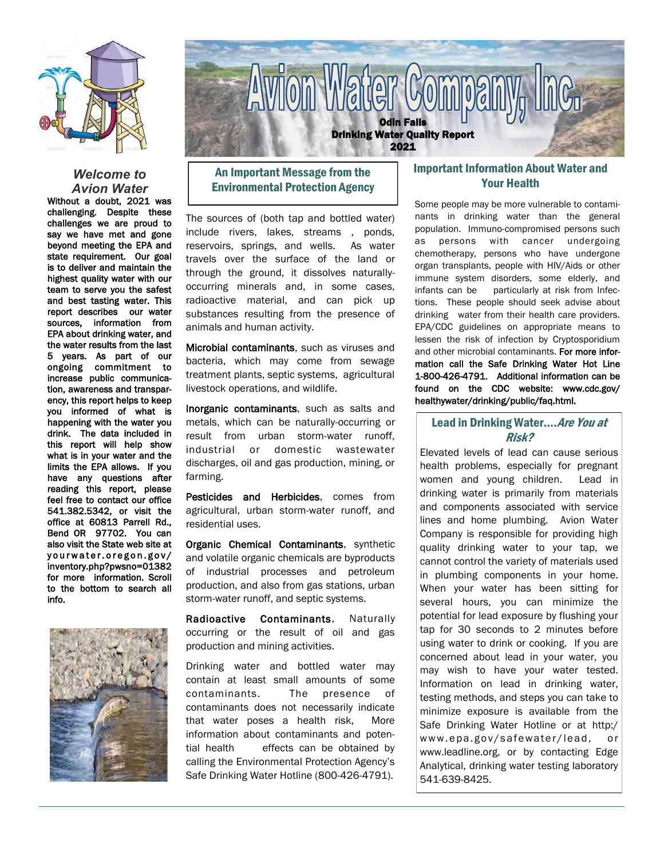

#### *Welcome to Avion Water*

Without a doubt, 2021 was challenging. Despite these challenges we are proud to say we have met and gone beyond meeting the EPA and state requirement. Our goal is to deliver and maintain the highest quality water with our team to serve you the safest and best tasting water. This report describes our water sources, information from EPA about drinking water, and the water results from the last 5 years. As part of our ongoing commitment to increase public communication, awareness and transparency, this report helps to keep you informed of what is happening with the water you drink. The data included in this report will help show what is in your water and the limits the EPA allows. If you have any questions after reading this report, please feel free to contact our office 541.382.5342, or visit the office at 60813 Parrell Rd., Bend OR 97702. You can also visit the State web site at yourwater.oregon.gov/ inventory.php?pwsno=01382 for more information. Scroll to the bottom to search all info.





# An Important Message from the Environmental Protection Agency

The sources of (both tap and bottled water) include rivers, lakes, streams , ponds, reservoirs, springs, and wells. As water travels over the surface of the land or through the ground, it dissolves naturallyoccurring minerals and, in some cases, radioactive material, and can pick up substances resulting from the presence of animals and human activity.

Microbial contaminants, such as viruses and bacteria, which may come from sewage treatment plants, septic systems, agricultural livestock operations, and wildlife.

Inorganic contaminants, such as salts and metals, which can be naturally-occurring or result from urban storm-water runoff, industrial or domestic wastewater discharges, oil and gas production, mining, or farming.

Pesticides and Herbicides, comes from agricultural, urban storm-water runoff, and residential uses.

Organic Chemical Contaminants, synthetic and volatile organic chemicals are byproducts of industrial processes and petroleum production, and also from gas stations, urban storm-water runoff, and septic systems.

Radioactive Contaminants, Naturally occurring or the result of oil and gas production and mining activities.

Drinking water and bottled water may contain at least small amounts of some contaminants. The presence of contaminants does not necessarily indicate that water poses a health risk, More information about contaminants and potential health effects can be obtained by calling the Environmental Protection Agency's Safe Drinking Water Hotline (800-426-4791).

## Important Information About Water and Your Health

Some people may be more vulnerable to contaminants in drinking water than the general population. Immuno-compromised persons such as persons with cancer undergoing chemotherapy, persons who have undergone organ transplants, people with HIV/Aids or other immune system disorders, some elderly, and infants can be particularly at risk from Infections. These people should seek advise about drinking water from their health care providers. EPA/CDC guidelines on appropriate means to lessen the risk of infection by Cryptosporidium and other microbial contaminants. For more information call the Safe Drinking Water Hot Line 1-800-426-4791. Additional information can be found on the CDC website: www.cdc.gov/ healthywater/drinking/public/faq.html.

## Lead in Drinking Water.... Are You at Risk?

Elevated levels of lead can cause serious health problems, especially for pregnant women and young children. Lead in drinking water is primarily from materials and components associated with service lines and home plumbing. Avion Water Company is responsible for providing high quality drinking water to your tap, we cannot control the variety of materials used in plumbing components in your home. When your water has been sitting for several hours, you can minimize the potential for lead exposure by flushing your tap for 30 seconds to 2 minutes before using water to drink or cooking. If you are concerned about lead in your water, you may wish to have your water tested. Information on lead in drinking water, testing methods, and steps you can take to minimize exposure is available from the Safe Drinking Water Hotline or at http:/ www.epa.gov/safewater/lead, or www.leadline.org, or by contacting Edge Analytical, drinking water testing laboratory 541-639-8425.